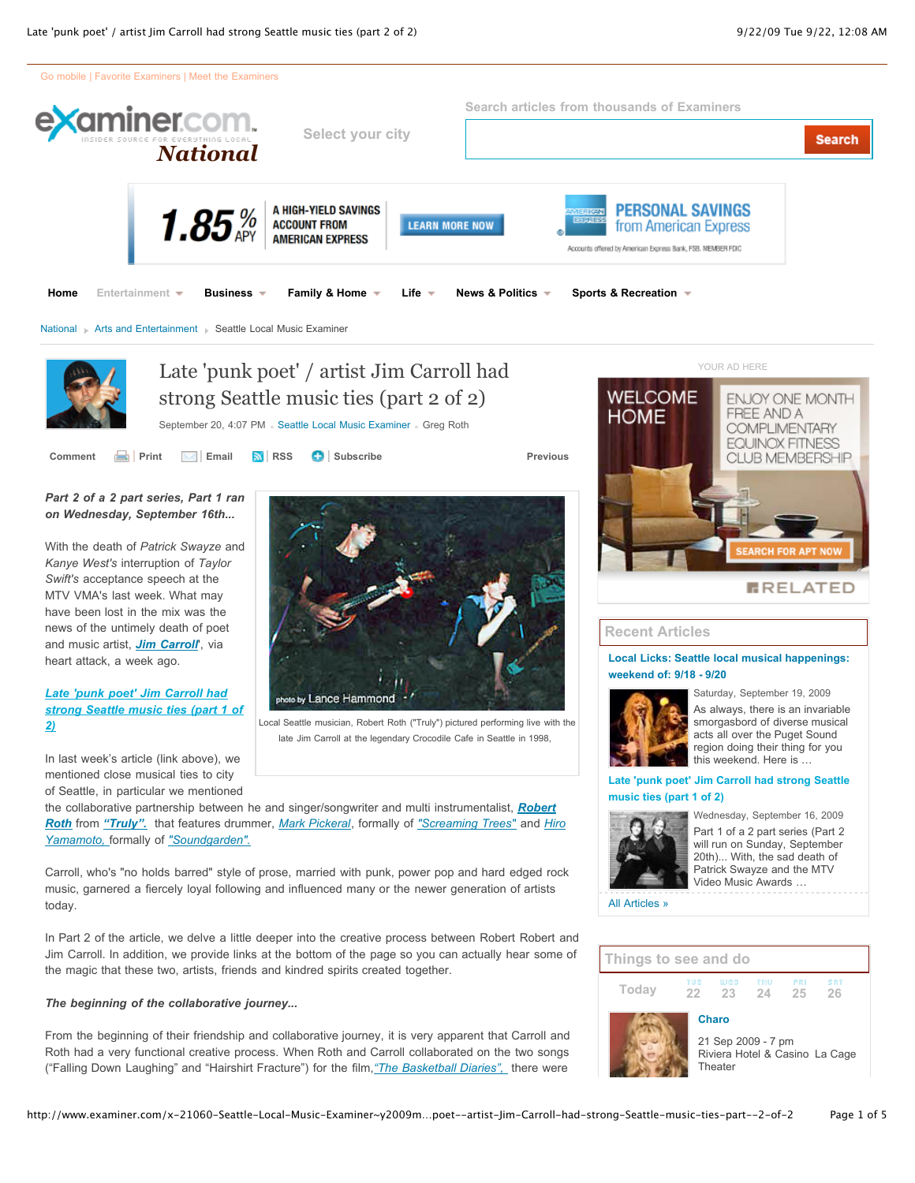

#### *The beginning of the collaborative journey...*

*2)*

From the beginning of their friendship and collaborative journey, it is very apparent that Carroll and Roth had a very functional creative process. When Roth and Carroll collaborated on the two songs ("Falling Down Laughing" and "Hairshirt Fracture") for the film,*["The Basketball Diaries",](http://www.imdb.com/title/tt0112461/)* there were

the magic that these two, artists, friends and kindred spirits created together.

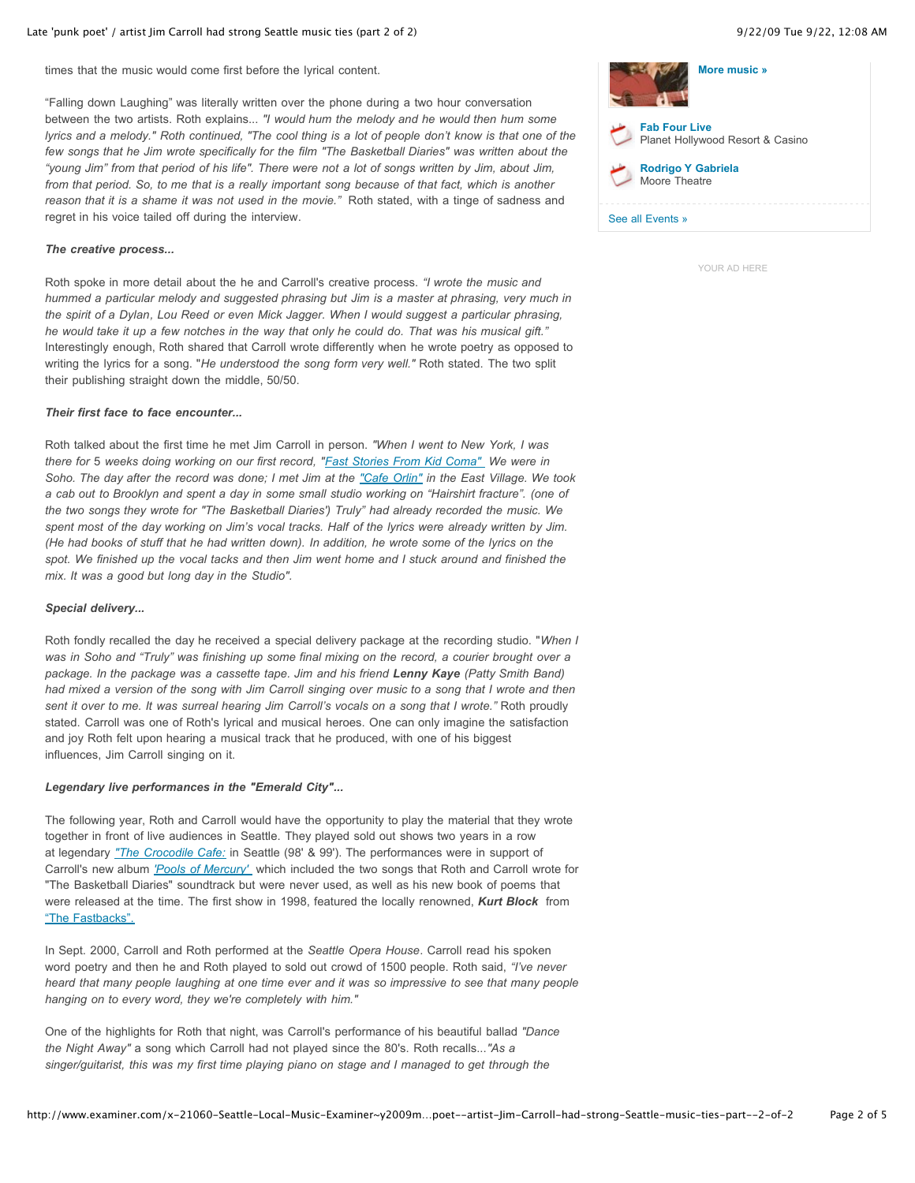times that the music would come first before the lyrical content.

"Falling down Laughing" was literally written over the phone during a two hour conversation between the two artists. Roth explains... *"I would hum the melody and he would then hum some lyrics and a melody." Roth continued, "The cool thing is a lot of people don't know is that one of the few songs that he Jim wrote specifically for the film "The Basketball Diaries" was written about the "young Jim" from that period of his life". There were not a lot of songs written by Jim, about Jim, from that period. So, to me that is a really important song because of that fact, which is another reason that it is a shame it was not used in the movie."* Roth stated, with a tinge of sadness and regret in his voice tailed off during the interview.

### *The creative process...*

Roth spoke in more detail about the he and Carroll's creative process. *"I wrote the music and hummed a particular melody and suggested phrasing but Jim is a master at phrasing, very much in the spirit of a Dylan, Lou Reed or even Mick Jagger. When I would suggest a particular phrasing, he would take it up a few notches in the way that only he could do. That was his musical gift."* Interestingly enough, Roth shared that Carroll wrote differently when he wrote poetry as opposed to writing the lyrics for a song. "*He understood the song form very well."* Roth stated. The two split their publishing straight down the middle, 50/50.

### *Their first face to face encounter...*

Roth talked about the first time he met Jim Carroll in person. *"When I went to New York, I was there for* 5 *weeks doing working on our first record, ["Fast Stories From Kid Coma"](http://www.amazon.com/Fast-Stories-Kid-Coma-Truly/dp/B000008PBT) We were in Soho. The day after the record was done; I met Jim at the ["Cafe Orlin"](http://www.cafeorlin.com/) in the East Village. We took a cab out to Brooklyn and spent a day in some small studio working on "Hairshirt fracture". (one of the two songs they wrote for "The Basketball Diaries') Truly" had already recorded the music. We spent most of the day working on Jim's vocal tracks. Half of the lyrics were already written by Jim. (He had books of stuff that he had written down). In addition, he wrote some of the lyrics on the spot. We finished up the vocal tacks and then Jim went home and I stuck around and finished the mix. It was a good but long day in the Studio".*

#### *Special delivery...*

Roth fondly recalled the day he received a special delivery package at the recording studio. "*When I was in Soho and "Truly" was finishing up some final mixing on the record, a courier brought over a package. In the package was a cassette tape. Jim and his friend Lenny Kaye (Patty Smith Band) had mixed a version of the song with Jim Carroll singing over music to a song that I wrote and then* sent it over to me. It was surreal hearing Jim Carroll's vocals on a song that I wrote." Roth proudly stated. Carroll was one of Roth's lyrical and musical heroes. One can only imagine the satisfaction and joy Roth felt upon hearing a musical track that he produced, with one of his biggest influences, Jim Carroll singing on it.

#### *Legendary live performances in the "Emerald City"...*

The following year, Roth and Carroll would have the opportunity to play the material that they wrote together in front of live audiences in Seattle. They played sold out shows two years in a row at legendary *["The Crocodile Cafe:](http://thecrocodile.com/index.html)* in Seattle (98' & 99'). The performances were in support of Carroll's new album *['Pools of Mercury'](http://www.amazon.com/Pools-Mercury-Jim-Carroll/dp/B00000DAK6)* which included the two songs that Roth and Carroll wrote for "The Basketball Diaries" soundtrack but were never used, as well as his new book of poems that were released at the time. The first show in 1998, featured the locally renowned, *Kurt Block* from ["The Fastbacks".](http://www.myspace.com/thefastbacks)

In Sept. 2000, Carroll and Roth performed at the *Seattle Opera House*. Carroll read his spoken word poetry and then he and Roth played to sold out crowd of 1500 people. Roth said, *"I've never heard that many people laughing at one time ever and it was so impressive to see that many people hanging on to every word, they we're completely with him."*

One of the highlights for Roth that night, was Carroll's performance of his beautiful ballad *"Dance the Night Away"* a song which Carroll had not played since the 80's. Roth recalls...*"As a singer/guitarist, this was my first time playing piano on stage and I managed to get through the*

| More music »                                             |
|----------------------------------------------------------|
| <b>Fab Four Live</b><br>Planet Hollywood Resort & Casino |
| <b>Rodrigo Y Gabriela</b><br>Moore Theatre               |
| See all Events »                                         |

[YOUR AD HERE](http://www.examiner.com/advertise/)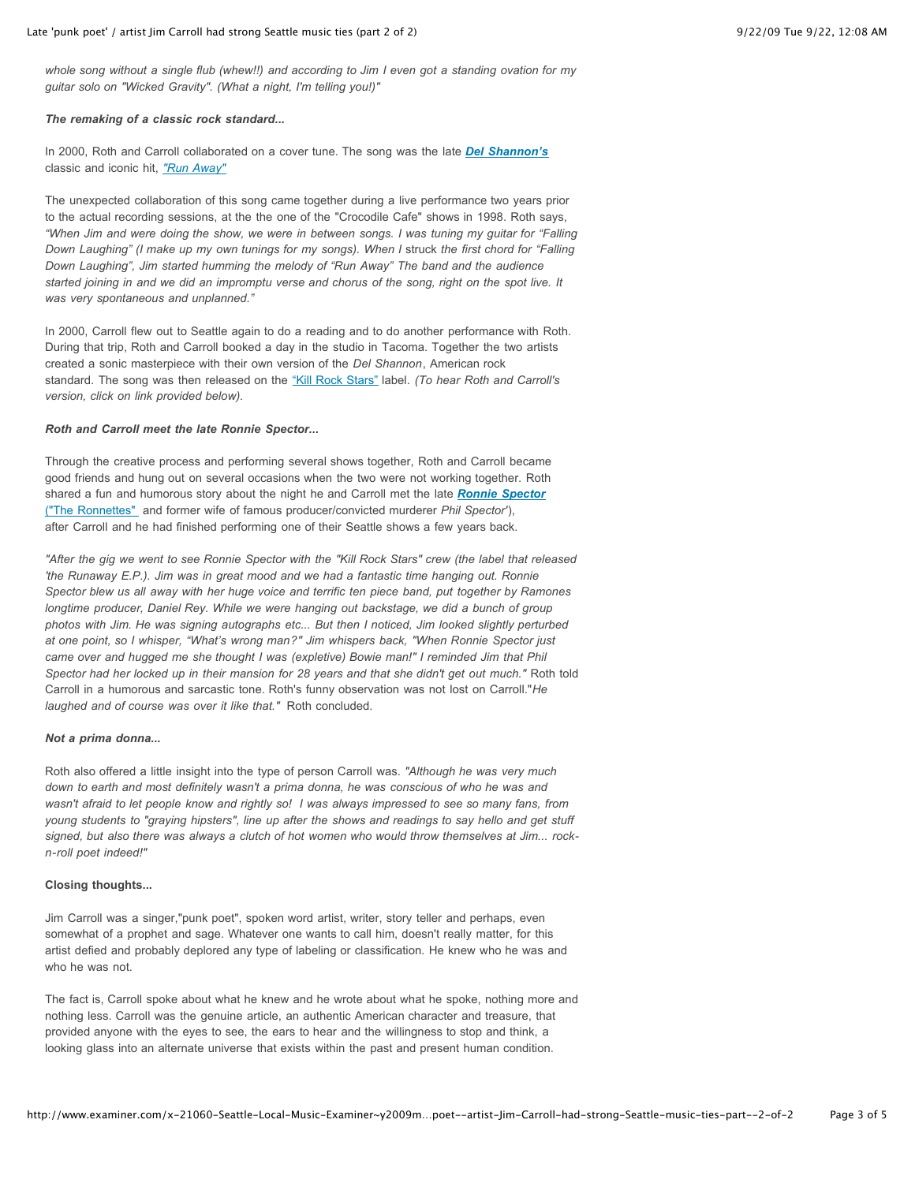*whole song without a single flub (whew!!) and according to Jim I even got a standing ovation for my guitar solo on "Wicked Gravity". (What a night, I'm telling you!)"*

#### *The remaking of a classic rock standard...*

In 2000, Roth and Carroll collaborated on a cover tune. The song was the late *[Del Shannon's](http://www.delshannon.com/)* classic and iconic hit, *["Run Away"](http://en.wikipedia.org/wiki/Del_Shannon)*

The unexpected collaboration of this song came together during a live performance two years prior to the actual recording sessions, at the the one of the "Crocodile Cafe" shows in 1998. Roth says, *"When Jim and were doing the show, we were in between songs. I was tuning my guitar for "Falling Down Laughing" (I make up my own tunings for my songs). When I* struck *the first chord for "Falling Down Laughing", Jim started humming the melody of "Run Away" The band and the audience started joining in and we did an impromptu verse and chorus of the song, right on the spot live. It was very spontaneous and unplanned."*

In 2000, Carroll flew out to Seattle again to do a reading and to do another performance with Roth. During that trip, Roth and Carroll booked a day in the studio in Tacoma. Together the two artists created a sonic masterpiece with their own version of the *Del Shannon*, American rock standard. The song was then released on the ["Kill Rock Stars"](http://www.killrockstars.com/) label. (To hear Roth and Carroll's *version, click on link provided below).*

#### *Roth and Carroll meet the late Ronnie Spector...*

Through the creative process and performing several shows together, Roth and Carroll became good friends and hung out on several occasions when the two were not working together. Roth shared a fun and humorous story about the night he and Carroll met the late *[Ronnie Spector](http://www.google.com/search?q=Ronnie+Spector&rls=com.microsoft:en-us:IE-SearchBox&ie=UTF-8&oe=UTF-8&sourceid=ie7&rlz=1I7GWYE)* [\("The Ronnettes"](http://en.wikipedia.org/wiki/The_Ronettes) and former wife of famous producer/convicted murderer *Phil Spector'*), after Carroll and he had finished performing one of their Seattle shows a few years back.

*"After the gig we went to see Ronnie Spector with the "Kill Rock Stars" crew (the label that released 'the Runaway E.P.). Jim was in great mood and we had a fantastic time hanging out. Ronnie Spector blew us all away with her huge voice and terrific ten piece band, put together by Ramones longtime producer, Daniel Rey. While we were hanging out backstage, we did a bunch of group photos with Jim. He was signing autographs etc... But then I noticed, Jim looked slightly perturbed at one point, so I whisper, "What's wrong man?" Jim whispers back, "When Ronnie Spector just came over and hugged me she thought I was (expletive) Bowie man!" I reminded Jim that Phil Spector had her locked up in their mansion for 28 years and that she didn't get out much."* Roth told Carroll in a humorous and sarcastic tone. Roth's funny observation was not lost on Carroll."*He laughed and of course was over it like that."* Roth concluded.

#### *Not a prima donna...*

Roth also offered a little insight into the type of person Carroll was. *"Although he was very much down to earth and most definitely wasn't a prima donna, he was conscious of who he was and wasn't afraid to let people know and rightly so! I was always impressed to see so many fans, from young students to "graying hipsters", line up after the shows and readings to say hello and get stuff signed, but also there was always a clutch of hot women who would throw themselves at Jim... rockn-roll poet indeed!"*

#### **Closing thoughts...**

Jim Carroll was a singer,"punk poet", spoken word artist, writer, story teller and perhaps, even somewhat of a prophet and sage. Whatever one wants to call him, doesn't really matter, for this artist defied and probably deplored any type of labeling or classification. He knew who he was and who he was not.

The fact is, Carroll spoke about what he knew and he wrote about what he spoke, nothing more and nothing less. Carroll was the genuine article, an authentic American character and treasure, that provided anyone with the eyes to see, the ears to hear and the willingness to stop and think, a looking glass into an alternate universe that exists within the past and present human condition.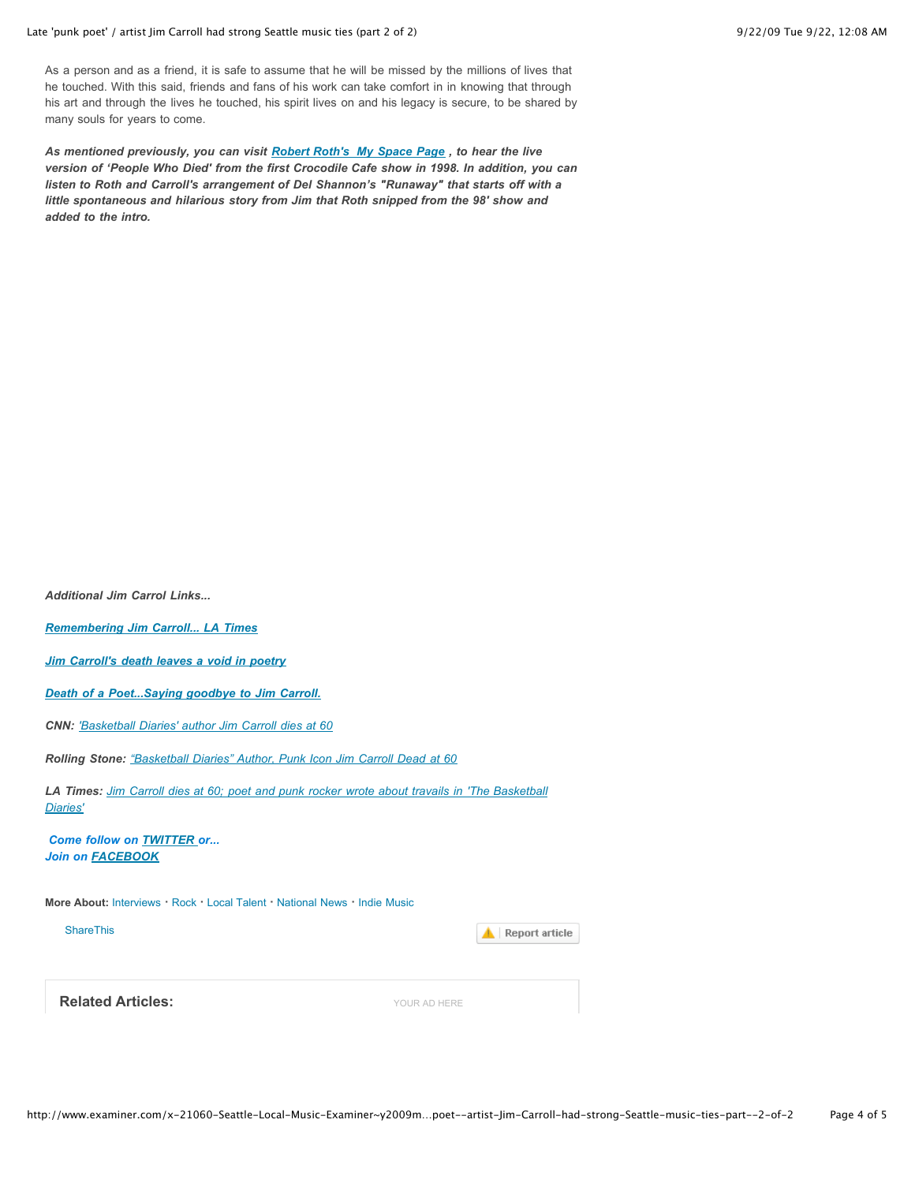### Late 'punk poet' / artist Jim Carroll had strong Seattle music ties (part 2 of 2) 9/22/09 Tue 9/22, 12:08 AM

As a person and as a friend, it is safe to assume that he will be missed by the millions of lives that he touched. With this said, friends and fans of his work can take comfort in in knowing that through his art and through the lives he touched, his spirit lives on and his legacy is secure, to be shared by many souls for years to come.

*As mentioned previously, you can visit [Robert Roth's My Space Page](http://www.myspace.com/robertrothmusic) , to hear the live version of 'People Who Died' from the first Crocodile Cafe show in 1998. In addition, you can listen to Roth and Carroll's arrangement of Del Shannon's "Runaway" that starts off with a little spontaneous and hilarious story from Jim that Roth snipped from the 98' show and added to the intro.* 

| <b>Additional Jim Carrol Links</b>                                                                          |                       |
|-------------------------------------------------------------------------------------------------------------|-----------------------|
| <b>Remembering Jim Carroll LA Times</b>                                                                     |                       |
| Jim Carroll's death leaves a void in poetry                                                                 |                       |
| Death of a PoetSaying goodbye to Jim Carroll.                                                               |                       |
| <b>CNN: 'Basketball Diaries' author Jim Carroll dies at 60</b>                                              |                       |
| Rolling Stone: "Basketball Diaries" Author, Punk Icon Jim Carroll Dead at 60                                |                       |
| LA Times: Jim Carroll dies at 60; poet and punk rocker wrote about travails in 'The Basketball'<br>Diaries' |                       |
| <b>Come follow on TWITTER or</b><br><b>Join on FACEBOOK</b>                                                 |                       |
| More About: Interviews · Rock · Local Talent · National News · Indie Music                                  |                       |
| <b>ShareThis</b>                                                                                            | <b>Report article</b> |
|                                                                                                             |                       |
| <b>Related Articles:</b>                                                                                    | YOUR AD HERE          |
|                                                                                                             |                       |